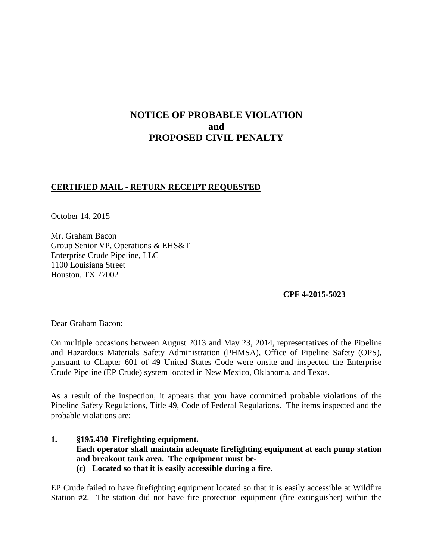# **NOTICE OF PROBABLE VIOLATION and PROPOSED CIVIL PENALTY**

# **CERTIFIED MAIL - RETURN RECEIPT REQUESTED**

October 14, 2015

Mr. Graham Bacon Group Senior VP, Operations & EHS&T Enterprise Crude Pipeline, LLC 1100 Louisiana Street Houston, TX 77002

**CPF 4-2015-5023** 

Dear Graham Bacon:

On multiple occasions between August 2013 and May 23, 2014, representatives of the Pipeline and Hazardous Materials Safety Administration (PHMSA), Office of Pipeline Safety (OPS), pursuant to Chapter 601 of 49 United States Code were onsite and inspected the Enterprise Crude Pipeline (EP Crude) system located in New Mexico, Oklahoma, and Texas.

As a result of the inspection, it appears that you have committed probable violations of the Pipeline Safety Regulations, Title 49, Code of Federal Regulations. The items inspected and the probable violations are:

**1. §195.430 Firefighting equipment. Each operator shall maintain adequate firefighting equipment at each pump station and breakout tank area. The equipment must be- (c) Located so that it is easily accessible during a fire.**

EP Crude failed to have firefighting equipment located so that it is easily accessible at Wildfire Station #2. The station did not have fire protection equipment (fire extinguisher) within the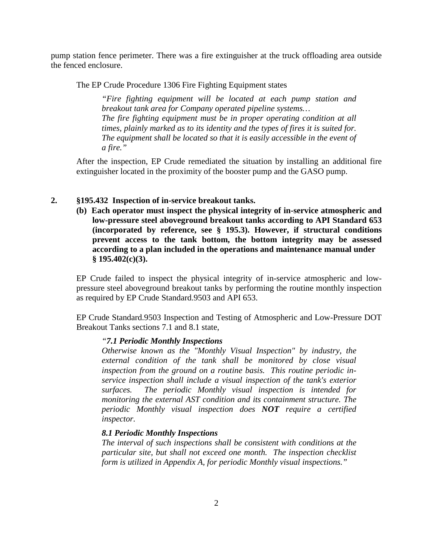pump station fence perimeter. There was a fire extinguisher at the truck offloading area outside the fenced enclosure.

The EP Crude Procedure 1306 Fire Fighting Equipment states

*"Fire fighting equipment will be located at each pump station and breakout tank area for Company operated pipeline systems… The fire fighting equipment must be in proper operating condition at all times, plainly marked as to its identity and the types of fires it is suited for. The equipment shall be located so that it is easily accessible in the event of a fire."*

After the inspection, EP Crude remediated the situation by installing an additional fire extinguisher located in the proximity of the booster pump and the GASO pump.

#### **2. §195.432 Inspection of in-service breakout tanks.**

**(b) Each operator must inspect the physical integrity of in-service atmospheric and low-pressure steel aboveground breakout tanks according to API Standard 653 (incorporated by reference, see § 195.3). However, if structural conditions prevent access to the tank bottom, the bottom integrity may be assessed according to a plan included in the operations and maintenance manual under § 195.402(c)(3).** 

EP Crude failed to inspect the physical integrity of in-service atmospheric and lowpressure steel aboveground breakout tanks by performing the routine monthly inspection as required by EP Crude Standard.9503 and API 653.

EP Crude Standard.9503 Inspection and Testing of Atmospheric and Low-Pressure DOT Breakout Tanks sections 7.1 and 8.1 state,

#### *"7.1 Periodic Monthly Inspections*

*Otherwise known as the "Monthly Visual Inspection" by industry, the external condition of the tank shall be monitored by close visual inspection from the ground on a routine basis. This routine periodic inservice inspection shall include a visual inspection of the tank's exterior surfaces. The periodic Monthly visual inspection is intended for monitoring the external AST condition and its containment structure. The periodic Monthly visual inspection does NOT require a certified inspector.* 

### *8.1 Periodic Monthly Inspections*

*The interval of such inspections shall be consistent with conditions at the particular site, but shall not exceed one month. The inspection checklist form is utilized in Appendix A, for periodic Monthly visual inspections."*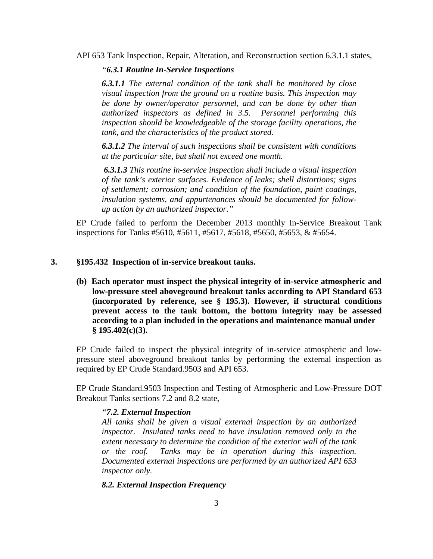API 653 Tank Inspection, Repair, Alteration, and Reconstruction section 6.3.1.1 states,

### *"6.3.1 Routine In-Service Inspections*

*6.3.1.1 The external condition of the tank shall be monitored by close visual inspection from the ground on a routine basis. This inspection may be done by owner/operator personnel, and can be done by other than authorized inspectors as defined in 3.5. Personnel performing this inspection should be knowledgeable of the storage facility operations, the tank, and the characteristics of the product stored.* 

*6.3.1.2 The interval of such inspections shall be consistent with conditions at the particular site, but shall not exceed one month.* 

*6.3.1.3 This routine in-service inspection shall include a visual inspection of the tank's exterior surfaces. Evidence of leaks; shell distortions; signs of settlement; corrosion; and condition of the foundation, paint coatings, insulation systems, and appurtenances should be documented for followup action by an authorized inspector."*

EP Crude failed to perform the December 2013 monthly In-Service Breakout Tank inspections for Tanks #5610, #5611, #5617, #5618, #5650, #5653, & #5654.

## **3. §195.432 Inspection of in-service breakout tanks.**

**(b) Each operator must inspect the physical integrity of in-service atmospheric and low-pressure steel aboveground breakout tanks according to API Standard 653 (incorporated by reference, see § 195.3). However, if structural conditions prevent access to the tank bottom, the bottom integrity may be assessed according to a plan included in the operations and maintenance manual under § 195.402(c)(3).** 

EP Crude failed to inspect the physical integrity of in-service atmospheric and lowpressure steel aboveground breakout tanks by performing the external inspection as required by EP Crude Standard.9503 and API 653.

EP Crude Standard.9503 Inspection and Testing of Atmospheric and Low-Pressure DOT Breakout Tanks sections 7.2 and 8.2 state,

## *"7.2. External Inspection*

*All tanks shall be given a visual external inspection by an authorized inspector. Insulated tanks need to have insulation removed only to the extent necessary to determine the condition of the exterior wall of the tank or the roof. Tanks may be in operation during this inspection. Documented external inspections are performed by an authorized API 653 inspector only.* 

## *8.2. External Inspection Frequency*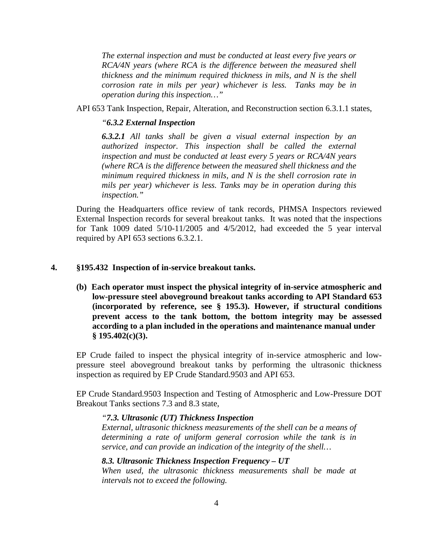*The external inspection and must be conducted at least every five years or RCA/4N years (where RCA is the difference between the measured shell thickness and the minimum required thickness in mils, and N is the shell corrosion rate in mils per year) whichever is less. Tanks may be in operation during this inspection…"*

API 653 Tank Inspection, Repair, Alteration, and Reconstruction section 6.3.1.1 states,

#### *"6.3.2 External Inspection*

*6.3.2.1 All tanks shall be given a visual external inspection by an authorized inspector. This inspection shall be called the external inspection and must be conducted at least every 5 years or RCA/4N years (where RCA is the difference between the measured shell thickness and the minimum required thickness in mils, and N is the shell corrosion rate in mils per year) whichever is less. Tanks may be in operation during this inspection."*

During the Headquarters office review of tank records, PHMSA Inspectors reviewed External Inspection records for several breakout tanks. It was noted that the inspections for Tank 1009 dated 5/10-11/2005 and 4/5/2012, had exceeded the 5 year interval required by API 653 sections 6.3.2.1.

## **4. §195.432 Inspection of in-service breakout tanks.**

**(b) Each operator must inspect the physical integrity of in-service atmospheric and low-pressure steel aboveground breakout tanks according to API Standard 653 (incorporated by reference, see § 195.3). However, if structural conditions prevent access to the tank bottom, the bottom integrity may be assessed according to a plan included in the operations and maintenance manual under § 195.402(c)(3).** 

EP Crude failed to inspect the physical integrity of in-service atmospheric and lowpressure steel aboveground breakout tanks by performing the ultrasonic thickness inspection as required by EP Crude Standard.9503 and API 653.

EP Crude Standard.9503 Inspection and Testing of Atmospheric and Low-Pressure DOT Breakout Tanks sections 7.3 and 8.3 state,

*"7.3. Ultrasonic (UT) Thickness Inspection*

*External, ultrasonic thickness measurements of the shell can be a means of determining a rate of uniform general corrosion while the tank is in service, and can provide an indication of the integrity of the shell…* 

*8.3. Ultrasonic Thickness Inspection Frequency – UT When used, the ultrasonic thickness measurements shall be made at intervals not to exceed the following.*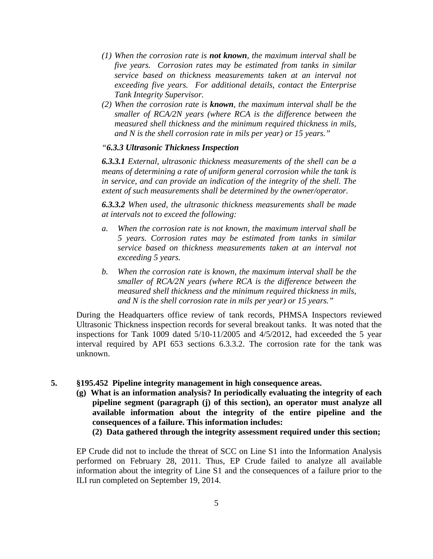- *(1) When the corrosion rate is not known, the maximum interval shall be five years. Corrosion rates may be estimated from tanks in similar service based on thickness measurements taken at an interval not exceeding five years. For additional details, contact the Enterprise Tank Integrity Supervisor.*
- *(2) When the corrosion rate is known, the maximum interval shall be the smaller of RCA/2N years (where RCA is the difference between the measured shell thickness and the minimum required thickness in mils, and N is the shell corrosion rate in mils per year) or 15 years."*

## *"6.3.3 Ultrasonic Thickness Inspection*

*6.3.3.1 External, ultrasonic thickness measurements of the shell can be a means of determining a rate of uniform general corrosion while the tank is in service, and can provide an indication of the integrity of the shell. The extent of such measurements shall be determined by the owner/operator.* 

*6.3.3.2 When used, the ultrasonic thickness measurements shall be made at intervals not to exceed the following:* 

- *a. When the corrosion rate is not known, the maximum interval shall be 5 years. Corrosion rates may be estimated from tanks in similar service based on thickness measurements taken at an interval not exceeding 5 years.*
- *b. When the corrosion rate is known, the maximum interval shall be the smaller of RCA/2N years (where RCA is the difference between the measured shell thickness and the minimum required thickness in mils, and N is the shell corrosion rate in mils per year) or 15 years."*

During the Headquarters office review of tank records, PHMSA Inspectors reviewed Ultrasonic Thickness inspection records for several breakout tanks. It was noted that the inspections for Tank 1009 dated 5/10-11/2005 and 4/5/2012, had exceeded the 5 year interval required by API 653 sections 6.3.3.2. The corrosion rate for the tank was unknown.

### **5. §195.452 Pipeline integrity management in high consequence areas.**

- **(g) What is an information analysis? In periodically evaluating the integrity of each pipeline segment (paragraph (j) of this section), an operator must analyze all available information about the integrity of the entire pipeline and the consequences of a failure. This information includes:**
	- **(2) Data gathered through the integrity assessment required under this section;**

EP Crude did not to include the threat of SCC on Line S1 into the Information Analysis performed on February 28, 2011. Thus, EP Crude failed to analyze all available information about the integrity of Line S1 and the consequences of a failure prior to the ILI run completed on September 19, 2014.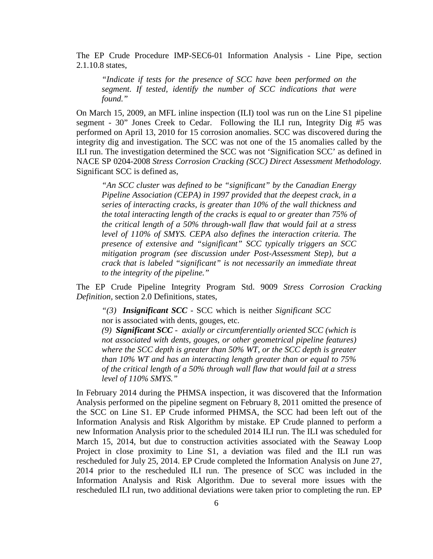The EP Crude Procedure IMP-SEC6-01 Information Analysis - Line Pipe, section 2.1.10.8 states,

*"Indicate if tests for the presence of SCC have been performed on the segment. If tested, identify the number of SCC indications that were found."*

On March 15, 2009, an MFL inline inspection (ILI) tool was run on the Line S1 pipeline segment - 30" Jones Creek to Cedar. Following the ILI run, Integrity Dig #5 was performed on April 13, 2010 for 15 corrosion anomalies. SCC was discovered during the integrity dig and investigation. The SCC was not one of the 15 anomalies called by the ILI run. The investigation determined the SCC was not 'Signification SCC' as defined in NACE SP 0204-2008 *Stress Corrosion Cracking (SCC) Direct Assessment Methodology.*  Significant SCC is defined as,

*"An SCC cluster was defined to be "significant" by the Canadian Energy Pipeline Association (CEPA) in 1997 provided that the deepest crack, in a series of interacting cracks, is greater than 10% of the wall thickness and the total interacting length of the cracks is equal to or greater than 75% of the critical length of a 50% through-wall flaw that would fail at a stress level of 110% of SMYS. CEPA also defines the interaction criteria. The presence of extensive and "significant" SCC typically triggers an SCC mitigation program (see discussion under Post-Assessment Step), but a crack that is labeled "significant" is not necessarily an immediate threat to the integrity of the pipeline."* 

The EP Crude Pipeline Integrity Program Std. 9009 *Stress Corrosion Cracking Definition,* section 2.0 Definitions, states,

*"(3) Insignificant SCC -* SCC which is neither *Significant SCC* nor is associated with dents, gouges, etc.

*(9) Significant SCC - axially or circumferentially oriented SCC (which is not associated with dents, gouges, or other geometrical pipeline features) where the SCC depth is greater than 50% WT, or the SCC depth is greater than 10% WT and has an interacting length greater than or equal to 75% of the critical length of a 50% through wall flaw that would fail at a stress level of 110% SMYS."* 

In February 2014 during the PHMSA inspection, it was discovered that the Information Analysis performed on the pipeline segment on February 8, 2011 omitted the presence of the SCC on Line S1. EP Crude informed PHMSA, the SCC had been left out of the Information Analysis and Risk Algorithm by mistake. EP Crude planned to perform a new Information Analysis prior to the scheduled 2014 ILI run. The ILI was scheduled for March 15, 2014, but due to construction activities associated with the Seaway Loop Project in close proximity to Line S1, a deviation was filed and the ILI run was rescheduled for July 25, 2014. EP Crude completed the Information Analysis on June 27, 2014 prior to the rescheduled ILI run. The presence of SCC was included in the Information Analysis and Risk Algorithm. Due to several more issues with the rescheduled ILI run, two additional deviations were taken prior to completing the run. EP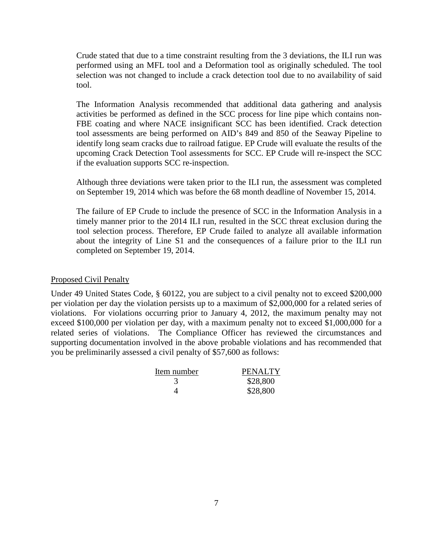Crude stated that due to a time constraint resulting from the 3 deviations, the ILI run was performed using an MFL tool and a Deformation tool as originally scheduled. The tool selection was not changed to include a crack detection tool due to no availability of said tool.

The Information Analysis recommended that additional data gathering and analysis activities be performed as defined in the SCC process for line pipe which contains non-FBE coating and where NACE insignificant SCC has been identified. Crack detection tool assessments are being performed on AID's 849 and 850 of the Seaway Pipeline to identify long seam cracks due to railroad fatigue. EP Crude will evaluate the results of the upcoming Crack Detection Tool assessments for SCC. EP Crude will re-inspect the SCC if the evaluation supports SCC re-inspection.

Although three deviations were taken prior to the ILI run, the assessment was completed on September 19, 2014 which was before the 68 month deadline of November 15, 2014.

The failure of EP Crude to include the presence of SCC in the Information Analysis in a timely manner prior to the 2014 ILI run, resulted in the SCC threat exclusion during the tool selection process. Therefore, EP Crude failed to analyze all available information about the integrity of Line S1 and the consequences of a failure prior to the ILI run completed on September 19, 2014.

## Proposed Civil Penalty

Under 49 United States Code, § 60122, you are subject to a civil penalty not to exceed \$200,000 per violation per day the violation persists up to a maximum of \$2,000,000 for a related series of violations. For violations occurring prior to January 4, 2012, the maximum penalty may not exceed \$100,000 per violation per day, with a maximum penalty not to exceed \$1,000,000 for a related series of violations. The Compliance Officer has reviewed the circumstances and supporting documentation involved in the above probable violations and has recommended that you be preliminarily assessed a civil penalty of \$57,600 as follows:

| Item number | PENALTY  |
|-------------|----------|
|             | \$28,800 |
|             | \$28,800 |